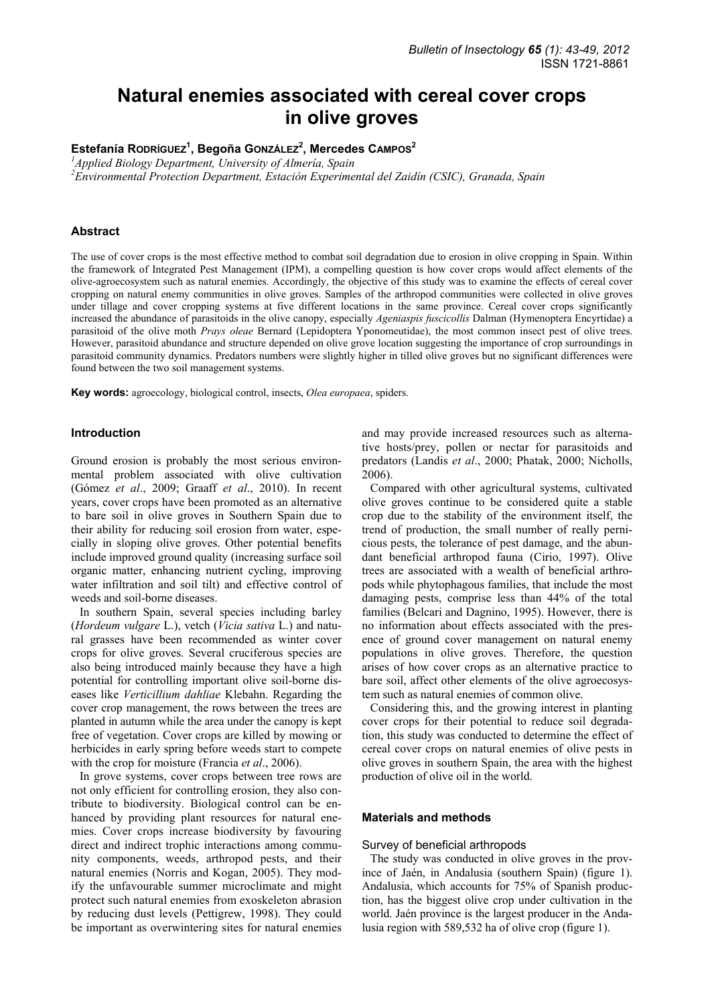# **Natural enemies associated with cereal cover crops in olive groves**

Estefanía Ropríguez<sup>1</sup>, Begoña GonzáLez<sup>2</sup>, Mercedes Campos<sup>2</sup>

*1 Applied Biology Department, University of Almería, Spain* 

*2 Environmental Protection Department, Estación Experimental del Zaidín (CSIC), Granada, Spain* 

## **Abstract**

The use of cover crops is the most effective method to combat soil degradation due to erosion in olive cropping in Spain. Within the framework of Integrated Pest Management (IPM), a compelling question is how cover crops would affect elements of the olive-agroecosystem such as natural enemies. Accordingly, the objective of this study was to examine the effects of cereal cover cropping on natural enemy communities in olive groves. Samples of the arthropod communities were collected in olive groves under tillage and cover cropping systems at five different locations in the same province. Cereal cover crops significantly increased the abundance of parasitoids in the olive canopy, especially *Ageniaspis fuscicollis* Dalman (Hymenoptera Encyrtidae) a parasitoid of the olive moth *Prays oleae* Bernard (Lepidoptera Yponomeutidae), the most common insect pest of olive trees. However, parasitoid abundance and structure depended on olive grove location suggesting the importance of crop surroundings in parasitoid community dynamics. Predators numbers were slightly higher in tilled olive groves but no significant differences were found between the two soil management systems.

**Key words:** agroecology, biological control, insects, *Olea europaea*, spiders.

## **Introduction**

Ground erosion is probably the most serious environmental problem associated with olive cultivation (Gómez *et al*., 2009; Graaff *et al*., 2010). In recent years, cover crops have been promoted as an alternative to bare soil in olive groves in Southern Spain due to their ability for reducing soil erosion from water, especially in sloping olive groves. Other potential benefits include improved ground quality (increasing surface soil organic matter, enhancing nutrient cycling, improving water infiltration and soil tilt) and effective control of weeds and soil-borne diseases.

In southern Spain, several species including barley (*Hordeum vulgare* L.), vetch (*Vicia sativa* L.) and natural grasses have been recommended as winter cover crops for olive groves. Several cruciferous species are also being introduced mainly because they have a high potential for controlling important olive soil-borne diseases like *Verticillium dahliae* Klebahn. Regarding the cover crop management, the rows between the trees are planted in autumn while the area under the canopy is kept free of vegetation. Cover crops are killed by mowing or herbicides in early spring before weeds start to compete with the crop for moisture (Francia *et al*., 2006).

In grove systems, cover crops between tree rows are not only efficient for controlling erosion, they also contribute to biodiversity. Biological control can be enhanced by providing plant resources for natural enemies. Cover crops increase biodiversity by favouring direct and indirect trophic interactions among community components, weeds, arthropod pests, and their natural enemies (Norris and Kogan, 2005). They modify the unfavourable summer microclimate and might protect such natural enemies from exoskeleton abrasion by reducing dust levels (Pettigrew, 1998). They could be important as overwintering sites for natural enemies and may provide increased resources such as alternative hosts/prey, pollen or nectar for parasitoids and predators (Landis *et al*., 2000; Phatak, 2000; Nicholls, 2006).

Compared with other agricultural systems, cultivated olive groves continue to be considered quite a stable crop due to the stability of the environment itself, the trend of production, the small number of really pernicious pests, the tolerance of pest damage, and the abundant beneficial arthropod fauna (Cirio, 1997). Olive trees are associated with a wealth of beneficial arthropods while phytophagous families, that include the most damaging pests, comprise less than 44% of the total families (Belcari and Dagnino, 1995). However, there is no information about effects associated with the presence of ground cover management on natural enemy populations in olive groves. Therefore, the question arises of how cover crops as an alternative practice to bare soil, affect other elements of the olive agroecosystem such as natural enemies of common olive.

Considering this, and the growing interest in planting cover crops for their potential to reduce soil degradation, this study was conducted to determine the effect of cereal cover crops on natural enemies of olive pests in olive groves in southern Spain, the area with the highest production of olive oil in the world.

## **Materials and methods**

#### Survey of beneficial arthropods

The study was conducted in olive groves in the province of Jaén, in Andalusia (southern Spain) (figure 1). Andalusia, which accounts for 75% of Spanish production, has the biggest olive crop under cultivation in the world. Jaén province is the largest producer in the Andalusia region with 589,532 ha of olive crop (figure 1).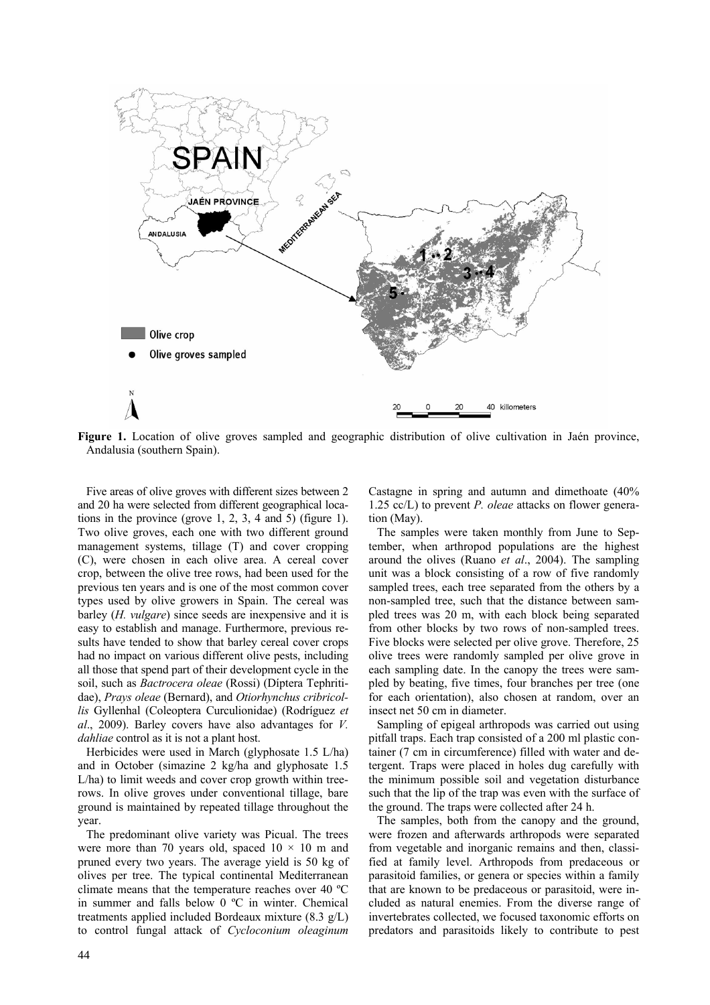

**Figure 1.** Location of olive groves sampled and geographic distribution of olive cultivation in Jaén province, Andalusia (southern Spain).

Five areas of olive groves with different sizes between 2 and 20 ha were selected from different geographical locations in the province (grove 1, 2, 3, 4 and 5) (figure 1). Two olive groves, each one with two different ground management systems, tillage (T) and cover cropping (C), were chosen in each olive area. A cereal cover crop, between the olive tree rows, had been used for the previous ten years and is one of the most common cover types used by olive growers in Spain. The cereal was barley (*H. vulgare*) since seeds are inexpensive and it is easy to establish and manage. Furthermore, previous results have tended to show that barley cereal cover crops had no impact on various different olive pests, including all those that spend part of their development cycle in the soil, such as *Bactrocera oleae* (Rossi) (Díptera Tephritidae), *Prays oleae* (Bernard), and *Otiorhynchus cribricollis* Gyllenhal (Coleoptera Curculionidae) (Rodríguez *et al*., 2009). Barley covers have also advantages for *V. dahliae* control as it is not a plant host.

Herbicides were used in March (glyphosate 1.5 L/ha) and in October (simazine 2 kg/ha and glyphosate 1.5 L/ha) to limit weeds and cover crop growth within treerows. In olive groves under conventional tillage, bare ground is maintained by repeated tillage throughout the year.

The predominant olive variety was Picual. The trees were more than 70 years old, spaced  $10 \times 10$  m and pruned every two years. The average yield is 50 kg of olives per tree. The typical continental Mediterranean climate means that the temperature reaches over 40 ºC in summer and falls below 0 ºC in winter. Chemical treatments applied included Bordeaux mixture (8.3 g/L) to control fungal attack of *Cycloconium oleaginum*  Castagne in spring and autumn and dimethoate (40% 1.25 cc/L) to prevent *P. oleae* attacks on flower generation (May).

The samples were taken monthly from June to September, when arthropod populations are the highest around the olives (Ruano *et al*., 2004). The sampling unit was a block consisting of a row of five randomly sampled trees, each tree separated from the others by a non-sampled tree, such that the distance between sampled trees was 20 m, with each block being separated from other blocks by two rows of non-sampled trees. Five blocks were selected per olive grove. Therefore, 25 olive trees were randomly sampled per olive grove in each sampling date. In the canopy the trees were sampled by beating, five times, four branches per tree (one for each orientation), also chosen at random, over an insect net 50 cm in diameter.

Sampling of epigeal arthropods was carried out using pitfall traps. Each trap consisted of a 200 ml plastic container (7 cm in circumference) filled with water and detergent. Traps were placed in holes dug carefully with the minimum possible soil and vegetation disturbance such that the lip of the trap was even with the surface of the ground. The traps were collected after 24 h.

The samples, both from the canopy and the ground, were frozen and afterwards arthropods were separated from vegetable and inorganic remains and then, classified at family level. Arthropods from predaceous or parasitoid families, or genera or species within a family that are known to be predaceous or parasitoid, were included as natural enemies. From the diverse range of invertebrates collected, we focused taxonomic efforts on predators and parasitoids likely to contribute to pest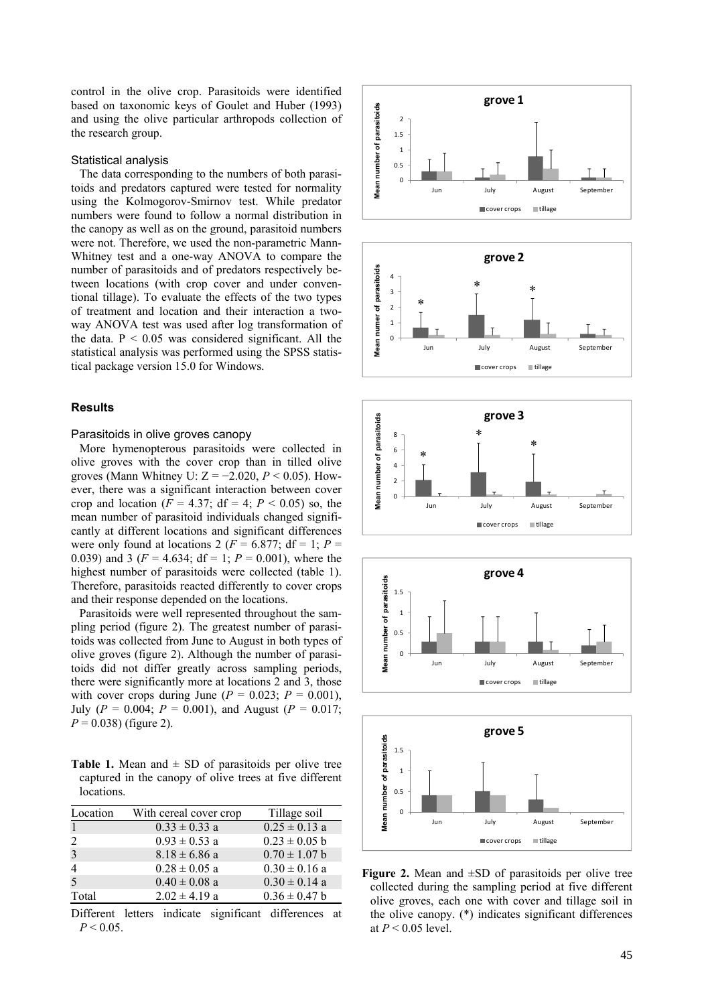control in the olive crop. Parasitoids were identified based on taxonomic keys of Goulet and Huber (1993) and using the olive particular arthropods collection of the research group.

#### Statistical analysis

The data corresponding to the numbers of both parasitoids and predators captured were tested for normality using the Kolmogorov-Smirnov test. While predator numbers were found to follow a normal distribution in the canopy as well as on the ground, parasitoid numbers were not. Therefore, we used the non-parametric Mann-Whitney test and a one-way ANOVA to compare the number of parasitoids and of predators respectively between locations (with crop cover and under conventional tillage). To evaluate the effects of the two types of treatment and location and their interaction a twoway ANOVA test was used after log transformation of the data.  $P < 0.05$  was considered significant. All the statistical analysis was performed using the SPSS statistical package version 15.0 for Windows.

### **Results**

#### Parasitoids in olive groves canopy

More hymenopterous parasitoids were collected in olive groves with the cover crop than in tilled olive groves (Mann Whitney U:  $Z = -2.020$ ,  $P < 0.05$ ). However, there was a significant interaction between cover crop and location ( $F = 4.37$ ; df = 4;  $P < 0.05$ ) so, the mean number of parasitoid individuals changed significantly at different locations and significant differences were only found at locations 2 ( $F = 6.877$ ; df = 1;  $P =$ 0.039) and 3 ( $F = 4.634$ ; df = 1;  $P = 0.001$ ), where the highest number of parasitoids were collected (table 1). Therefore, parasitoids reacted differently to cover crops and their response depended on the locations.

Parasitoids were well represented throughout the sampling period (figure 2). The greatest number of parasitoids was collected from June to August in both types of olive groves (figure 2). Although the number of parasitoids did not differ greatly across sampling periods, there were significantly more at locations 2 and 3, those with cover crops during June  $(P = 0.023; P = 0.001)$ , July ( $P = 0.004$ ;  $P = 0.001$ ), and August ( $P = 0.017$ ;  $P = 0.038$ ) (figure 2).

**Table 1.** Mean and  $\pm$  SD of parasitoids per olive tree captured in the canopy of olive trees at five different locations.

| Location       | With cereal cover crop | Tillage soil      |
|----------------|------------------------|-------------------|
| $\mathbf{1}$   | $0.33 \pm 0.33$ a      | $0.25 \pm 0.13$ a |
| $\mathfrak{D}$ | $0.93 \pm 0.53$ a      | $0.23 \pm 0.05$ b |
| 3              | $8.18 \pm 6.86$ a      | $0.70 \pm 1.07$ b |
| $\overline{4}$ | $0.28 \pm 0.05$ a      | $0.30 \pm 0.16$ a |
| 5              | $0.40 \pm 0.08$ a      | $0.30 \pm 0.14$ a |
| Total          | $2.02 \pm 4.19$ a      | $0.36 \pm 0.47$ b |

Different letters indicate significant differences at  $P < 0.05$ .











**Figure 2.** Mean and ±SD of parasitoids per olive tree collected during the sampling period at five different olive groves, each one with cover and tillage soil in the olive canopy. (\*) indicates significant differences at *P* < 0.05 level.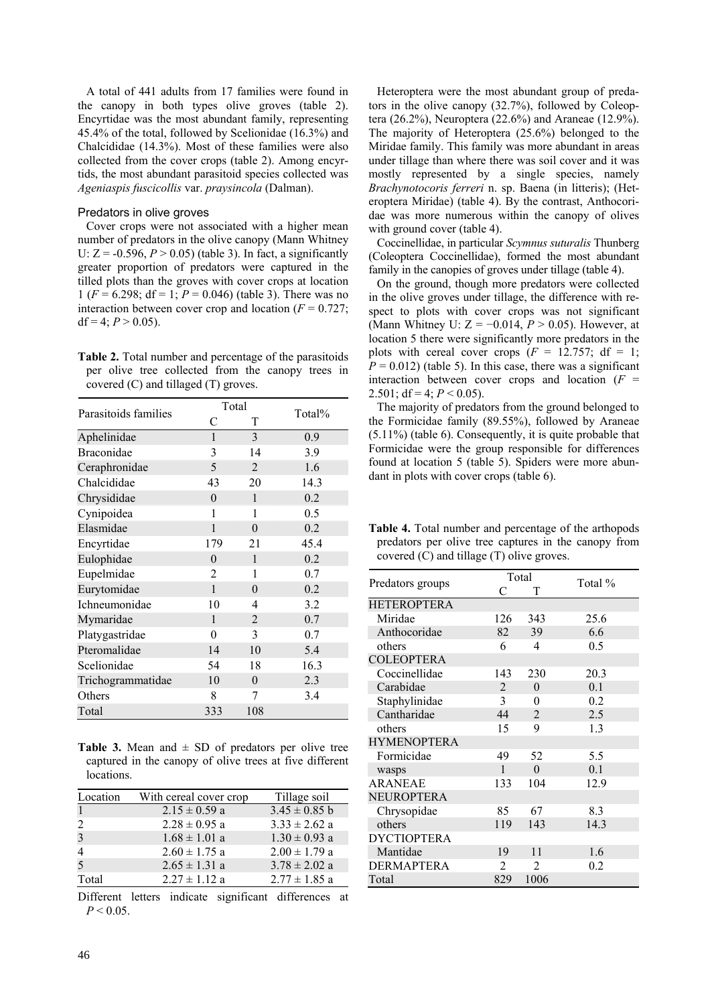A total of 441 adults from 17 families were found in the canopy in both types olive groves (table 2). Encyrtidae was the most abundant family, representing 45.4% of the total, followed by Scelionidae (16.3%) and Chalcididae (14.3%). Most of these families were also collected from the cover crops (table 2). Among encyrtids, the most abundant parasitoid species collected was *Ageniaspis fuscicollis* var. *praysincola* (Dalman).

#### Predators in olive groves

Cover crops were not associated with a higher mean number of predators in the olive canopy (Mann Whitney U:  $Z = -0.596, P > 0.05$  (table 3). In fact, a significantly greater proportion of predators were captured in the tilled plots than the groves with cover crops at location 1 (*F* = 6.298; df = 1; *P* = 0.046) (table 3). There was no interaction between cover crop and location  $(F = 0.727)$ ; df = 4;  $P > 0.05$ ).

**Table 2.** Total number and percentage of the parasitoids per olive tree collected from the canopy trees in covered (C) and tillaged (T) groves.

| Parasitoids families | Total          |                | Total% |
|----------------------|----------------|----------------|--------|
|                      | С              | T              |        |
| Aphelinidae          | $\mathbf{1}$   | 3              | 0.9    |
| Braconidae           | 3              | 14             | 3.9    |
| Ceraphronidae        | 5              | 2              | 1.6    |
| Chalcididae          | 43             | 20             | 14.3   |
| Chrysididae          | $\theta$       | 1              | 0.2    |
| Cynipoidea           | 1              | 1              | 0.5    |
| Elasmidae            | 1              | $\theta$       | 0.2    |
| Encyrtidae           | 179            | 21             | 45.4   |
| Eulophidae           | $\theta$       | 1              | 0.2    |
| Eupelmidae           | $\overline{2}$ | 1              | 0.7    |
| Eurytomidae          | $\mathbf{1}$   | $\theta$       | 0.2    |
| Ichneumonidae        | 10             | 4              | 3.2    |
| Mymaridae            | $\mathbf{1}$   | $\overline{2}$ | 0.7    |
| Platygastridae       | 0              | 3              | 0.7    |
| Pteromalidae         | 14             | 10             | 5.4    |
| Scelionidae          | 54             | 18             | 16.3   |
| Trichogrammatidae    | 10             | $\theta$       | 2.3    |
| Others               | 8              | 7              | 3.4    |
| Total                | 333            | 108            |        |

**Table 3.** Mean and  $\pm$  SD of predators per olive tree captured in the canopy of olive trees at five different locations.

| Location | With cereal cover crop | Tillage soil      |
|----------|------------------------|-------------------|
|          | $2.15 \pm 0.59$ a      | $3.45 \pm 0.85$ b |
| 2        | $2.28 \pm 0.95$ a      | $3.33 \pm 2.62$ a |
| 3        | $1.68 \pm 1.01$ a      | $1.30 \pm 0.93$ a |
| 4        | $2.60 \pm 1.75$ a      | $2.00 \pm 1.79$ a |
| 5        | $2.65 \pm 1.31$ a      | $3.78 \pm 2.02$ a |
| Total    | $2.27 \pm 1.12$ a      | $2.77 \pm 1.85$ a |

Different letters indicate significant differences at  $P < 0.05$ .

Heteroptera were the most abundant group of predators in the olive canopy (32.7%), followed by Coleoptera (26.2%), Neuroptera (22.6%) and Araneae (12.9%). The majority of Heteroptera (25.6%) belonged to the Miridae family. This family was more abundant in areas under tillage than where there was soil cover and it was mostly represented by a single species, namely *Brachynotocoris ferreri* n. sp. Baena (in litteris); (Heteroptera Miridae) (table 4). By the contrast, Anthocoridae was more numerous within the canopy of olives with ground cover (table 4).

Coccinellidae, in particular *Scymnus suturalis* Thunberg (Coleoptera Coccinellidae), formed the most abundant family in the canopies of groves under tillage (table 4).

On the ground, though more predators were collected in the olive groves under tillage, the difference with respect to plots with cover crops was not significant (Mann Whitney U: Z = −0.014, *P* > 0.05). However, at location 5 there were significantly more predators in the plots with cereal cover crops  $(F = 12.757; df = 1;$  $P = 0.012$ ) (table 5). In this case, there was a significant interaction between cover crops and location  $(F =$ 2.501; df = 4;  $P < 0.05$ ).

The majority of predators from the ground belonged to the Formicidae family (89.55%), followed by Araneae (5.11%) (table 6). Consequently, it is quite probable that Formicidae were the group responsible for differences found at location 5 (table 5). Spiders were more abundant in plots with cover crops (table 6).

| <b>Table 4.</b> Total number and percentage of the arthopods |  |  |  |
|--------------------------------------------------------------|--|--|--|
| predators per olive tree captures in the canopy from         |  |  |  |
| covered $(C)$ and tillage $(T)$ olive groves.                |  |  |  |

|                    | Total          |                |         |
|--------------------|----------------|----------------|---------|
| Predators groups   | C              | T              | Total % |
| <b>HETEROPTERA</b> |                |                |         |
| Miridae            | 126            | 343            | 25.6    |
| Anthocoridae       | 82             | 39             | 6.6     |
| others             | 6              | 4              | 0.5     |
| <b>COLEOPTERA</b>  |                |                |         |
| Coccinellidae      | 143            | 230            | 20.3    |
| Carabidae          | $\overline{2}$ | $\theta$       | 0.1     |
| Staphylinidae      | $\mathbf{3}$   | 0              | 0.2     |
| Cantharidae        | 44             | $\overline{2}$ | 2.5     |
| others             | 15             | 9              | 1.3     |
| <b>HYMENOPTERA</b> |                |                |         |
| Formicidae         | 49             | 52             | 5.5     |
| wasps              | $\mathbf{1}$   | $\theta$       | 0.1     |
| <b>ARANEAE</b>     | 133            | 104            | 12.9    |
| <b>NEUROPTERA</b>  |                |                |         |
| Chrysopidae        | 85             | 67             | 8.3     |
| others             | 119            | 143            | 14.3    |
| <b>DYCTIOPTERA</b> |                |                |         |
| Mantidae           | 19             | 11             | 1.6     |
| <b>DERMAPTERA</b>  | $\overline{2}$ | 2              | 0.2     |
| Total              | 829            | 1006           |         |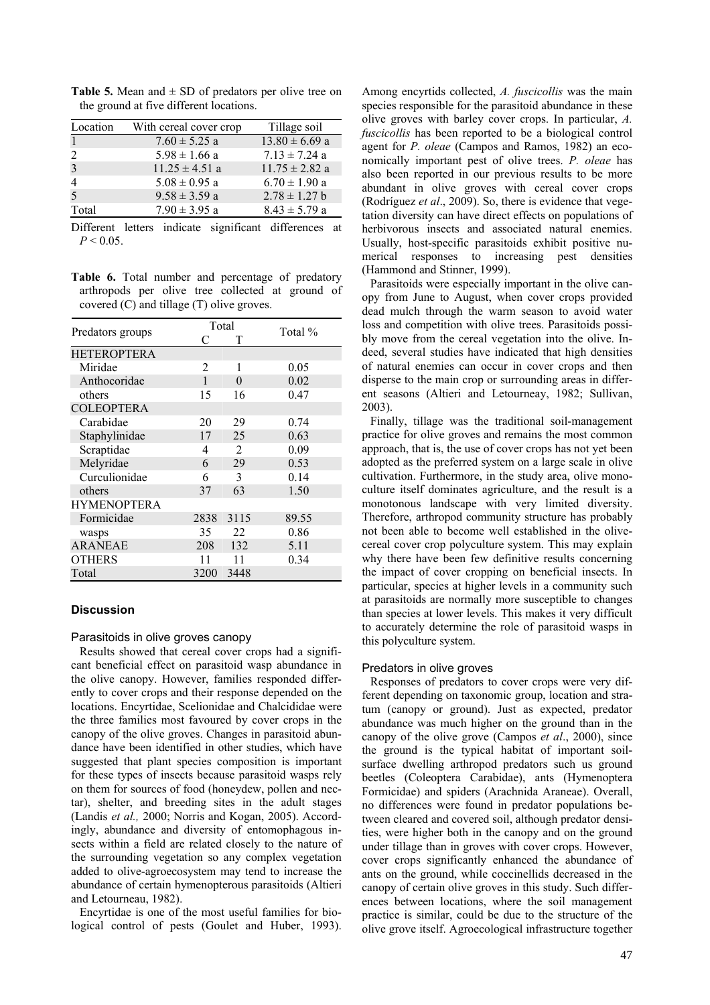| Location | With cereal cover crop | Tillage soil       |
|----------|------------------------|--------------------|
|          | $7.60 \pm 5.25$ a      | $13.80 \pm 6.69$ a |
|          | $5.98 \pm 1.66$ a      | $7.13 \pm 7.24$ a  |
| 3        | $11.25 \pm 4.51$ a     | $11.75 \pm 2.82$ a |
|          | $5.08 \pm 0.95$ a      | $6.70 \pm 1.90$ a  |
|          | $9.58 \pm 3.59$ a      | $2.78 \pm 1.27$ b  |
| Total    | $7.90 \pm 3.95$ a      | $8.43 \pm 5.79$ a  |

**Table 5.** Mean and  $\pm$  SD of predators per olive tree on the ground at five different locations.

Different letters indicate significant differences at  $P < 0.05$ .

**Table 6.** Total number and percentage of predatory arthropods per olive tree collected at ground of covered (C) and tillage (T) olive groves.

|                    | Total          |      | Total % |
|--------------------|----------------|------|---------|
| Predators groups   | C              | т    |         |
| <b>HETEROPTERA</b> |                |      |         |
| Miridae            | $\overline{c}$ | 1    | 0.05    |
| Anthocoridae       | 1              | 0    | 0.02    |
| others             | 15             | 16   | 0.47    |
| <b>COLEOPTERA</b>  |                |      |         |
| Carabidae          | 20             | 29   | 0.74    |
| Staphylinidae      | 17             | 25   | 0.63    |
| Scraptidae         | 4              | 2    | 0.09    |
| Melyridae          | 6              | 29   | 0.53    |
| Curculionidae      | 6              | 3    | 0.14    |
| others             | 37             | 63   | 1.50    |
| <b>HYMENOPTERA</b> |                |      |         |
| Formicidae         | 2838           | 3115 | 89.55   |
| wasps              | 35             | 22   | 0.86    |
| <b>ARANEAE</b>     | 208            | 132  | 5.11    |
| <b>OTHERS</b>      | 11             | 11   | 0.34    |
| Total              | 3200           | 3448 |         |

## **Discussion**

## Parasitoids in olive groves canopy

Results showed that cereal cover crops had a significant beneficial effect on parasitoid wasp abundance in the olive canopy. However, families responded differently to cover crops and their response depended on the locations. Encyrtidae, Scelionidae and Chalcididae were the three families most favoured by cover crops in the canopy of the olive groves. Changes in parasitoid abundance have been identified in other studies, which have suggested that plant species composition is important for these types of insects because parasitoid wasps rely on them for sources of food (honeydew, pollen and nectar), shelter, and breeding sites in the adult stages (Landis *et al.,* 2000; Norris and Kogan, 2005). Accordingly, abundance and diversity of entomophagous insects within a field are related closely to the nature of the surrounding vegetation so any complex vegetation added to olive-agroecosystem may tend to increase the abundance of certain hymenopterous parasitoids (Altieri and Letourneau, 1982).

Encyrtidae is one of the most useful families for biological control of pests (Goulet and Huber, 1993).

Among encyrtids collected, *A. fuscicollis* was the main species responsible for the parasitoid abundance in these olive groves with barley cover crops. In particular, *A. fuscicollis* has been reported to be a biological control agent for *P. oleae* (Campos and Ramos, 1982) an economically important pest of olive trees. *P. oleae* has also been reported in our previous results to be more abundant in olive groves with cereal cover crops (Rodríguez *et al*., 2009). So, there is evidence that vegetation diversity can have direct effects on populations of herbivorous insects and associated natural enemies. Usually, host-specific parasitoids exhibit positive numerical responses to increasing pest densities (Hammond and Stinner, 1999).

Parasitoids were especially important in the olive canopy from June to August, when cover crops provided dead mulch through the warm season to avoid water loss and competition with olive trees. Parasitoids possibly move from the cereal vegetation into the olive. Indeed, several studies have indicated that high densities of natural enemies can occur in cover crops and then disperse to the main crop or surrounding areas in different seasons (Altieri and Letourneay, 1982; Sullivan, 2003).

Finally, tillage was the traditional soil-management practice for olive groves and remains the most common approach, that is, the use of cover crops has not yet been adopted as the preferred system on a large scale in olive cultivation. Furthermore, in the study area, olive monoculture itself dominates agriculture, and the result is a monotonous landscape with very limited diversity. Therefore, arthropod community structure has probably not been able to become well established in the olivecereal cover crop polyculture system. This may explain why there have been few definitive results concerning the impact of cover cropping on beneficial insects. In particular, species at higher levels in a community such at parasitoids are normally more susceptible to changes than species at lower levels. This makes it very difficult to accurately determine the role of parasitoid wasps in this polyculture system.

#### Predators in olive groves

Responses of predators to cover crops were very different depending on taxonomic group, location and stratum (canopy or ground). Just as expected, predator abundance was much higher on the ground than in the canopy of the olive grove (Campos *et al*., 2000), since the ground is the typical habitat of important soilsurface dwelling arthropod predators such us ground beetles (Coleoptera Carabidae), ants (Hymenoptera Formicidae) and spiders (Arachnida Araneae). Overall, no differences were found in predator populations between cleared and covered soil, although predator densities, were higher both in the canopy and on the ground under tillage than in groves with cover crops. However, cover crops significantly enhanced the abundance of ants on the ground, while coccinellids decreased in the canopy of certain olive groves in this study. Such differences between locations, where the soil management practice is similar, could be due to the structure of the olive grove itself. Agroecological infrastructure together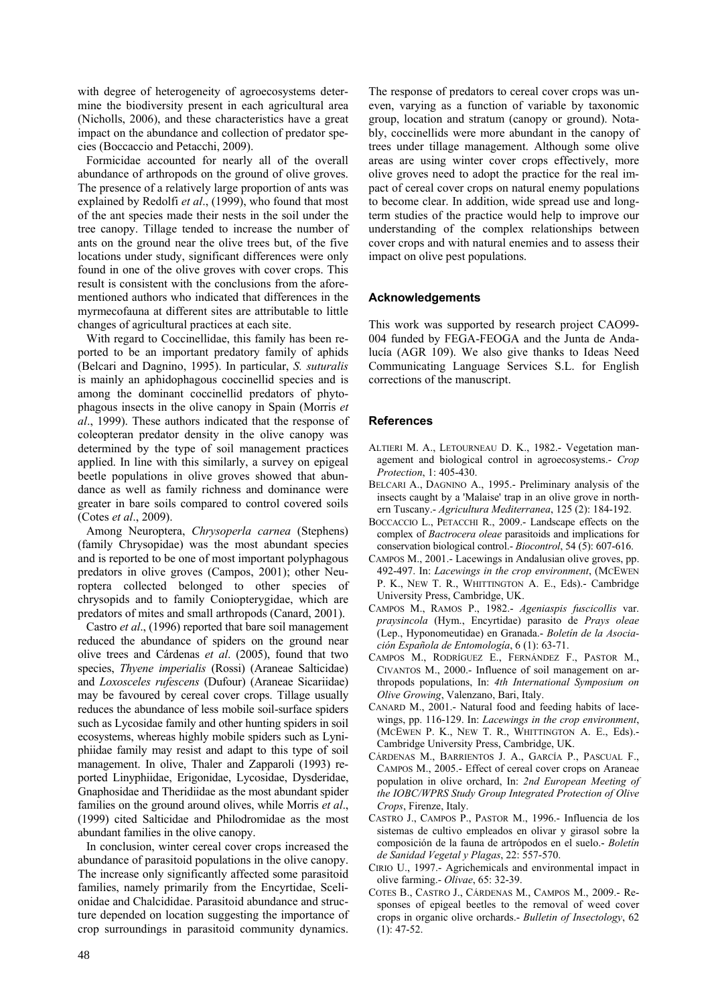with degree of heterogeneity of agroecosystems determine the biodiversity present in each agricultural area (Nicholls, 2006), and these characteristics have a great impact on the abundance and collection of predator species (Boccaccio and Petacchi, 2009).

Formicidae accounted for nearly all of the overall abundance of arthropods on the ground of olive groves. The presence of a relatively large proportion of ants was explained by Redolfi *et al*., (1999), who found that most of the ant species made their nests in the soil under the tree canopy. Tillage tended to increase the number of ants on the ground near the olive trees but, of the five locations under study, significant differences were only found in one of the olive groves with cover crops. This result is consistent with the conclusions from the aforementioned authors who indicated that differences in the myrmecofauna at different sites are attributable to little changes of agricultural practices at each site.

With regard to Coccinellidae, this family has been reported to be an important predatory family of aphids (Belcari and Dagnino, 1995). In particular, *S. suturalis* is mainly an aphidophagous coccinellid species and is among the dominant coccinellid predators of phytophagous insects in the olive canopy in Spain (Morris *et al*., 1999). These authors indicated that the response of coleopteran predator density in the olive canopy was determined by the type of soil management practices applied. In line with this similarly, a survey on epigeal beetle populations in olive groves showed that abundance as well as family richness and dominance were greater in bare soils compared to control covered soils (Cotes *et al*., 2009).

Among Neuroptera, *Chrysoperla carnea* (Stephens) (family Chrysopidae) was the most abundant species and is reported to be one of most important polyphagous predators in olive groves (Campos, 2001); other Neuroptera collected belonged to other species of chrysopids and to family Coniopterygidae, which are predators of mites and small arthropods (Canard, 2001).

Castro *et al*., (1996) reported that bare soil management reduced the abundance of spiders on the ground near olive trees and Cárdenas *et al*. (2005), found that two species, *Thyene imperialis* (Rossi) (Araneae Salticidae) and *Loxosceles rufescens* (Dufour) (Araneae Sicariidae) may be favoured by cereal cover crops. Tillage usually reduces the abundance of less mobile soil-surface spiders such as Lycosidae family and other hunting spiders in soil ecosystems, whereas highly mobile spiders such as Lyniphiidae family may resist and adapt to this type of soil management. In olive, Thaler and Zapparoli (1993) reported Linyphiidae, Erigonidae, Lycosidae, Dysderidae, Gnaphosidae and Theridiidae as the most abundant spider families on the ground around olives, while Morris *et al*., (1999) cited Salticidae and Philodromidae as the most abundant families in the olive canopy.

In conclusion, winter cereal cover crops increased the abundance of parasitoid populations in the olive canopy. The increase only significantly affected some parasitoid families, namely primarily from the Encyrtidae, Scelionidae and Chalcididae. Parasitoid abundance and structure depended on location suggesting the importance of crop surroundings in parasitoid community dynamics. The response of predators to cereal cover crops was uneven, varying as a function of variable by taxonomic group, location and stratum (canopy or ground). Notably, coccinellids were more abundant in the canopy of trees under tillage management. Although some olive areas are using winter cover crops effectively, more olive groves need to adopt the practice for the real impact of cereal cover crops on natural enemy populations to become clear. In addition, wide spread use and longterm studies of the practice would help to improve our understanding of the complex relationships between cover crops and with natural enemies and to assess their impact on olive pest populations.

## **Acknowledgements**

This work was supported by research project CAO99- 004 funded by FEGA-FEOGA and the Junta de Andalucía (AGR 109). We also give thanks to Ideas Need Communicating Language Services S.L. for English corrections of the manuscript.

## **References**

- ALTIERI M. A., LETOURNEAU D. K., 1982.- Vegetation management and biological control in agroecosystems.- *Crop Protection*, 1: 405-430.
- BELCARI A., DAGNINO A., 1995.- Preliminary analysis of the insects caught by a 'Malaise' trap in an olive grove in northern Tuscany.- *Agricultura Mediterranea*, 125 (2): 184-192.
- BOCCACCIO L., PETACCHI R., 2009.- Landscape effects on the complex of *Bactrocera oleae* parasitoids and implications for conservation biological control.- *Biocontrol*, 54 (5): 607-616.
- CAMPOS M., 2001.- Lacewings in Andalusian olive groves, pp. 492-497. In: *Lacewings in the crop environment*, (MCEWEN P. K., NEW T. R., WHITTINGTON A. E., Eds).- Cambridge University Press, Cambridge, UK.
- CAMPOS M., RAMOS P., 1982.- *Ageniaspis fuscicollis* var. *praysincola* (Hym., Encyrtidae) parasito de *Prays oleae* (Lep., Hyponomeutidae) en Granada.- *Boletín de la Asociación Española de Entomología*, 6 (1): 63-71.
- CAMPOS M., RODRÍGUEZ E., FERNÁNDEZ F., PASTOR M., CIVANTOS M., 2000.- Influence of soil management on arthropods populations, In: *4th International Symposium on Olive Growing*, Valenzano, Bari, Italy.
- CANARD M., 2001.- Natural food and feeding habits of lacewings, pp. 116-129. In: *Lacewings in the crop environment*, (MCEWEN P. K., NEW T. R., WHITTINGTON A. E., Eds).- Cambridge University Press, Cambridge, UK.
- CÁRDENAS M., BARRIENTOS J. A., GARCÍA P., PASCUAL F., CAMPOS M., 2005.- Effect of cereal cover crops on Araneae population in olive orchard, In: *2nd European Meeting of the IOBC/WPRS Study Group Integrated Protection of Olive Crops*, Firenze, Italy.
- CASTRO J., CAMPOS P., PASTOR M., 1996.- Influencia de los sistemas de cultivo empleados en olivar y girasol sobre la composición de la fauna de artrópodos en el suelo.- *Boletín de Sanidad Vegetal y Plagas*, 22: 557-570.
- CIRIO U., 1997.- Agrichemicals and environmental impact in olive farming.- *Olivae*, 65: 32-39.
- COTES B., CASTRO J., CÁRDENAS M., CAMPOS M., 2009.- Responses of epigeal beetles to the removal of weed cover crops in organic olive orchards.- *Bulletin of Insectology*, 62  $(1)$ : 47-52.